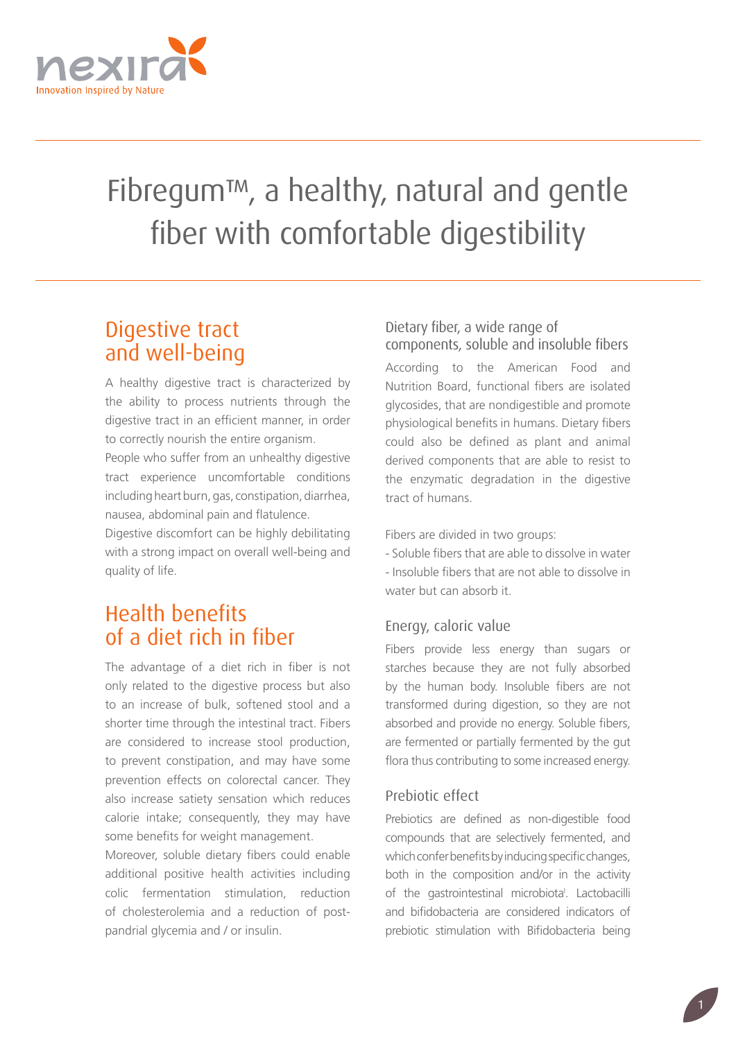

# Fibregum™, a healthy, natural and gentle fiber with comfortable digestibility

## Digestive tract and well-being

A healthy digestive tract is characterized by the ability to process nutrients through the digestive tract in an efficient manner, in order to correctly nourish the entire organism.

People who suffer from an unhealthy digestive tract experience uncomfortable conditions including heart burn, gas, constipation, diarrhea, nausea, abdominal pain and flatulence.

Digestive discomfort can be highly debilitating with a strong impact on overall well-being and quality of life.

## Health benefits of a diet rich in fiber

The advantage of a diet rich in fiber is not only related to the digestive process but also to an increase of bulk, softened stool and a shorter time through the intestinal tract. Fibers are considered to increase stool production, to prevent constipation, and may have some prevention effects on colorectal cancer. They also increase satiety sensation which reduces calorie intake; consequently, they may have some benefits for weight management.

Moreover, soluble dietary fibers could enable additional positive health activities including colic fermentation stimulation, reduction of cholesterolemia and a reduction of postpandrial glycemia and / or insulin.

## Dietary fiber, a wide range of components, soluble and insoluble fibers

According to the American Food and Nutrition Board, functional fibers are isolated glycosides, that are nondigestible and promote physiological benefits in humans. Dietary fibers could also be defined as plant and animal derived components that are able to resist to the enzymatic degradation in the digestive tract of humans.

Fibers are divided in two groups:

- Soluble fibers that are able to dissolve in water - Insoluble fibers that are not able to dissolve in water but can absorb it.

## Energy, caloric value

Fibers provide less energy than sugars or starches because they are not fully absorbed by the human body. Insoluble fibers are not transformed during digestion, so they are not absorbed and provide no energy. Soluble fibers, are fermented or partially fermented by the gut flora thus contributing to some increased energy.

## Prebiotic effect

Prebiotics are defined as non-digestible food compounds that are selectively fermented, and which confer benefits by inducing specific changes, both in the composition and/or in the activity of the gastrointestinal microbiota<sup>'</sup>. Lactobacilli and bifidobacteria are considered indicators of prebiotic stimulation with Bifidobacteria being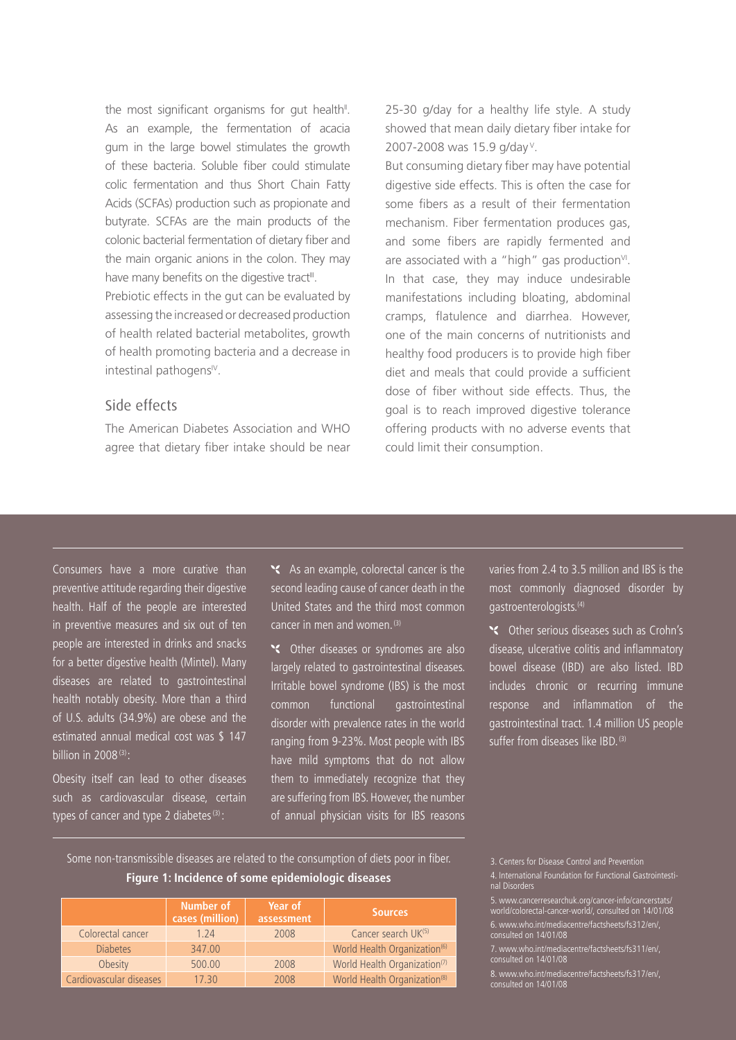the most significant organisms for gut health<sup>"</sup>. As an example, the fermentation of acacia gum in the large bowel stimulates the growth of these bacteria. Soluble fiber could stimulate colic fermentation and thus Short Chain Fatty Acids (SCFAs) production such as propionate and butyrate. SCFAs are the main products of the colonic bacterial fermentation of dietary fiber and the main organic anions in the colon. They may have many benefits on the digestive tract<sup>III</sup>.

Prebiotic effects in the gut can be evaluated by assessing the increased or decreased production of health related bacterial metabolites, growth of health promoting bacteria and a decrease in intestinal pathogens<sup>IV</sup>.

#### Side effects

The American Diabetes Association and WHO agree that dietary fiber intake should be near 25-30 g/day for a healthy life style. A study showed that mean daily dietary fiber intake for 2007-2008 was 15.9 g/day<sup>v</sup>.

But consuming dietary fiber may have potential digestive side effects. This is often the case for some fibers as a result of their fermentation mechanism. Fiber fermentation produces gas, and some fibers are rapidly fermented and are associated with a "high" gas production $V$ . In that case, they may induce undesirable manifestations including bloating, abdominal cramps, flatulence and diarrhea. However, one of the main concerns of nutritionists and healthy food producers is to provide high fiber diet and meals that could provide a sufficient dose of fiber without side effects. Thus, the goal is to reach improved digestive tolerance offering products with no adverse events that could limit their consumption.

Consumers have a more curative than preventive attitude regarding their digestive health. Half of the people are interested in preventive measures and six out of ten people are interested in drinks and snacks for a better digestive health (Mintel). Many diseases are related to gastrointestinal health notably obesity. More than a third of U.S. adults (34.9%) are obese and the estimated annual medical cost was \$ 147 billion in 2008 $(3)$ :

Obesity itself can lead to other diseases such as cardiovascular disease, certain types of cancer and type 2 diabetes $(3)$ :

As an example, colorectal cancer is the second leading cause of cancer death in the United States and the third most common cancer in men and women. (3)

Stable other diseases or syndromes are also largely related to gastrointestinal diseases. Irritable bowel syndrome (IBS) is the most common functional gastrointestinal disorder with prevalence rates in the world ranging from 9-23%. Most people with IBS have mild symptoms that do not allow them to immediately recognize that they are suffering from IBS. However, the number of annual physician visits for IBS reasons

varies from 2.4 to 3.5 million and IBS is the most commonly diagnosed disorder by gastroenterologists.(4)

Other serious diseases such as Crohn's disease, ulcerative colitis and inflammatory bowel disease (IBD) are also listed. IBD includes chronic or recurring immune response and inflammation of the gastrointestinal tract. 1.4 million US people suffer from diseases like IBD.<sup>(3)</sup>

Some non-transmissible diseases are related to the consumption of diets poor in fiber. **Figure 1: Incidence of some epidemiologic diseases**

|                         | Number of<br>cases (million) | Year of<br>assessment | <b>Sources</b>                           |  |
|-------------------------|------------------------------|-----------------------|------------------------------------------|--|
| Colorectal cancer       | 1.24                         | 2008                  | Cancer search UK(5)                      |  |
| <b>Diabetes</b>         | 347.00                       |                       | World Health Organization <sup>(6)</sup> |  |
| Obesity                 | 500.00                       | 2008                  | World Health Organization <sup>(7)</sup> |  |
| Cardiovascular diseases | 17.30                        | 2008                  | World Health Organization <sup>(8)</sup> |  |

<sup>3.</sup> Centers for Disease Control and Prevention

<sup>4.</sup> International Foundation for Functional Gastrointestinal Disorders

<sup>5.</sup> www.cancerresearchuk.org/cancer-info/cancerstats/ world/colorectal-cancer-world/, consulted on 14/01/08 6. www.who.int/mediacentre/factsheets/fs312/en/, consulted on 14/01/08

<sup>7.</sup> www.who.int/mediacentre/factsheets/fs311/en/, consulted on 14/01/08

<sup>8.</sup> www.who.int/mediacentre/factsheets/fs317/en/, consulted on 14/01/08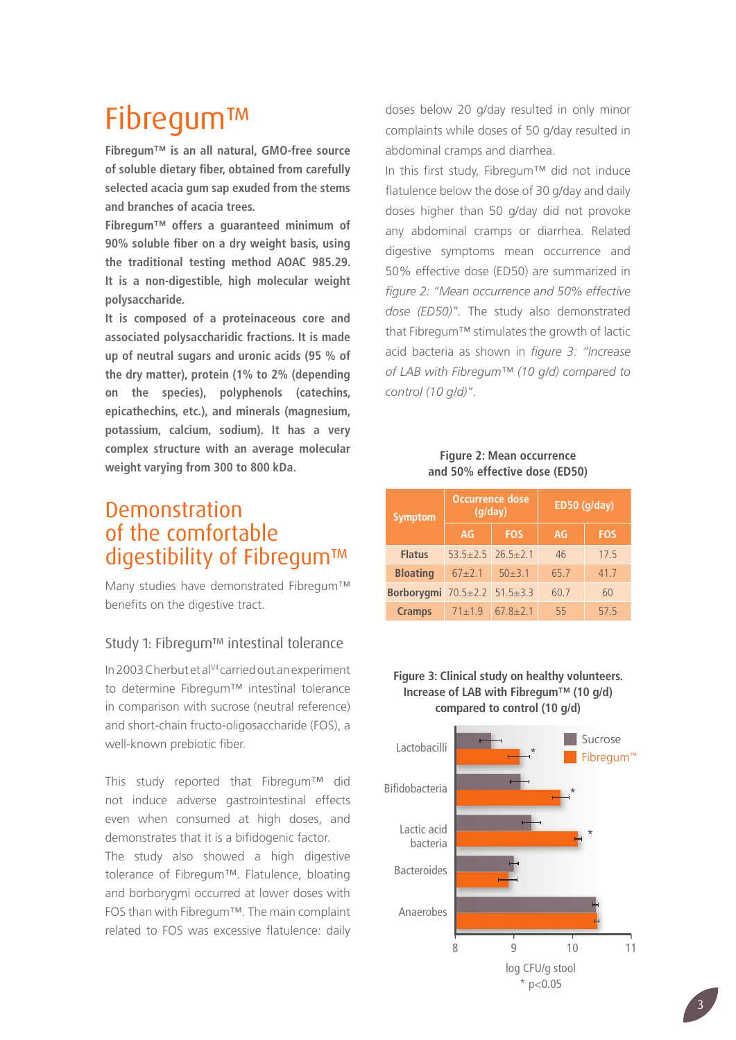## Fibregum™

**Fibregum™ is an all natural, GMO-free source of soluble dietary fiber, obtained from carefully selected acacia gum sap exuded from the stems and branches of acacia trees.**

**Fibregum™ offers a guaranteed minimum of 90% soluble fiber on a dry weight basis, using the traditional testing method AOAC 985.29. It is a non-digestible, high molecular weight polysaccharide.**

**It is composed of a proteinaceous core and associated polysaccharidic fractions. It is made up of neutral sugars and uronic acids (95 % of the dry matter), protein (1% to 2% (depending on the species), polyphenols (catechins, epicathechins, etc.), and minerals (magnesium, potassium, calcium, sodium). It has a very complex structure with an average molecular weight varying from 300 to 800 kDa.**

## Demonstration of the comfortable digestibility of Fibregum™

Many studies have demonstrated Fibregum™ benefits on the digestive tract.

## Study 1: Fibregum™ intestinal tolerance

In 2003 Cherbut et al<sup>VII</sup> carried out an experiment to determine Fibregum™ intestinal tolerance in comparison with sucrose (neutral reference) and short-chain fructo-oligosaccharide (FOS), a well-known prebiotic fiber.

This study reported that Fibregum™ did not induce adverse gastrointestinal effects even when consumed at high doses, and demonstrates that it is a bifidogenic factor.

The study also showed a high digestive tolerance of Fibregum™. Flatulence, bloating and borborygmi occurred at lower doses with FOS than with Fibregum™. The main complaint related to FOS was excessive flatulence: daily doses below 20 g/day resulted in only minor complaints while doses of 50 g/day resulted in abdominal cramps and diarrhea.

In this first study, Fibregum™ did not induce flatulence below the dose of 30 g/day and daily doses higher than 50 g/day did not provoke any abdominal cramps or diarrhea. Related digestive symptoms mean occurrence and 50% effective dose (ED50) are summarized in *figure 2: "Mean occurrence and 50% effective dose (ED50)"*. The study also demonstrated that Fibregum™ stimulates the growth of lactic acid bacteria as shown in *figure 3: "Increase of LAB with Fibregum™ (10 g/d) compared to control (10 g/d)"*.

#### **Figure 2: Mean occurrence and 50% effective dose (ED50)**

| <b>Symptom</b>               | <b>Occurrence dose</b><br>(q/day) |              | ED50 (g/day) |            |
|------------------------------|-----------------------------------|--------------|--------------|------------|
|                              | AG                                | <b>FOS</b>   | AG           | <b>FOS</b> |
| <b>Flatus</b>                | $53.5 + 2.5$ $26.5 + 2.1$         |              | 46           | 17.5       |
| <b>Bloating</b>              | $67 + 2.1$                        | $50 + 3.1$   | 65.7         | 41.7       |
| Borborygmi 70.5±2.2 51.5±3.3 |                                   |              | 60.7         | 60         |
| <b>Cramps</b>                | $71 + 1.9$                        | $67.8 + 2.1$ | 55           | 57.5       |

#### **Figure 3: Clinical study on healthy volunteers. Increase of LAB with Fibregum™ (10 g/d) compared to control (10 g/d) compared to control (10 g/d)**

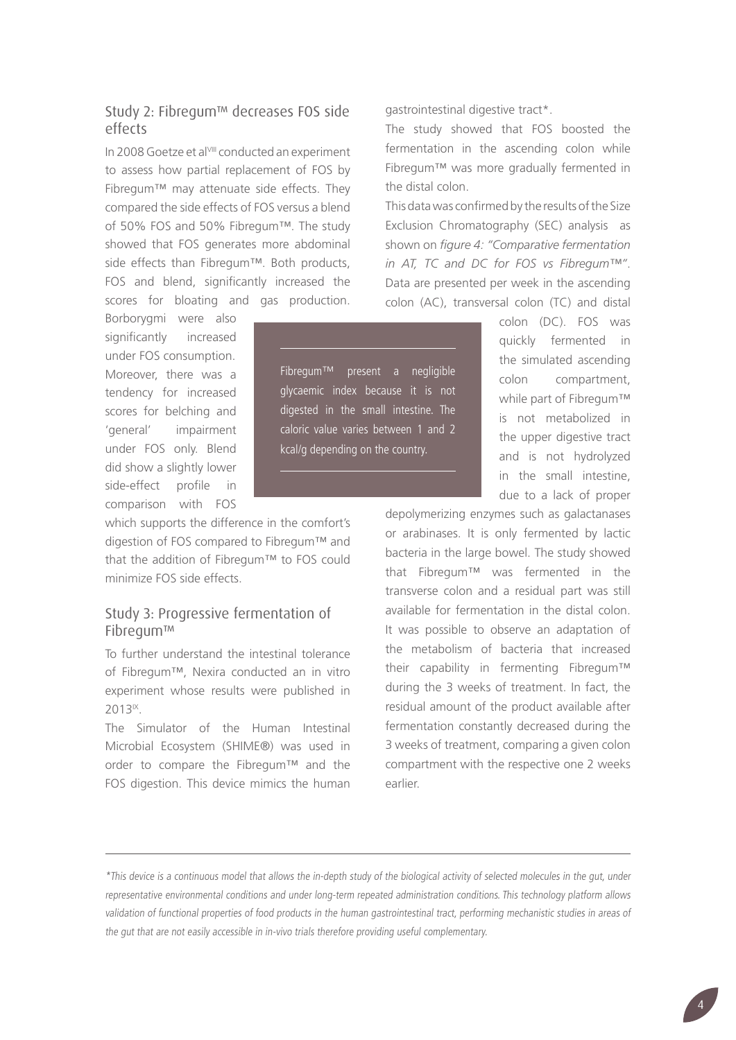## Study 2: Fibregum™ decreases FOS side effects

In 2008 Goetze et al<sup>VIII</sup> conducted an experiment to assess how partial replacement of FOS by Fibregum™ may attenuate side effects. They compared the side effects of FOS versus a blend of 50% FOS and 50% Fibregum™. The study showed that FOS generates more abdominal side effects than Fibregum™. Both products, FOS and blend, significantly increased the scores for bloating and gas production.

Borborygmi were also significantly increased under FOS consumption. Moreover, there was a tendency for increased scores for belching and 'general' impairment under FOS only. Blend did show a slightly lower side-effect profile in comparison with FOS

which supports the difference in the comfort's digestion of FOS compared to Fibregum™ and that the addition of Fibregum™ to FOS could minimize FOS side effects.

## Study 3: Progressive fermentation of Fibregum™

To further understand the intestinal tolerance of Fibregum™, Nexira conducted an in vitro experiment whose results were published in 2013<sup>IX</sup>.

The Simulator of the Human Intestinal Microbial Ecosystem (SHIME®) was used in order to compare the Fibregum™ and the FOS digestion. This device mimics the human gastrointestinal digestive tract\*.

The study showed that FOS boosted the fermentation in the ascending colon while Fibregum™ was more gradually fermented in the distal colon.

This data was confirmed by the results of the Size Exclusion Chromatography (SEC) analysis as shown on *figure 4: "Comparative fermentation in AT, TC and DC for FOS vs Fibregum™"*. Data are presented per week in the ascending colon (AC), transversal colon (TC) and distal

> colon (DC). FOS was quickly fermented in the simulated ascending colon compartment, while part of Fibregum™ is not metabolized in the upper digestive tract and is not hydrolyzed in the small intestine, due to a lack of proper

depolymerizing enzymes such as galactanases or arabinases. It is only fermented by lactic bacteria in the large bowel. The study showed that Fibregum™ was fermented in the transverse colon and a residual part was still available for fermentation in the distal colon. It was possible to observe an adaptation of the metabolism of bacteria that increased their capability in fermenting Fibregum™ during the 3 weeks of treatment. In fact, the residual amount of the product available after fermentation constantly decreased during the 3 weeks of treatment, comparing a given colon compartment with the respective one 2 weeks earlier.

Fibregum™ present a negligible glycaemic index because it is not digested in the small intestine. The caloric value varies between 1 and 2 kcal/g depending on the country.

<sup>\*</sup>This device is a continuous model that allows the in-depth study of the biological activity of selected molecules in the gut, under representative environmental conditions and under long-term repeated administration conditions. This technology platform allows validation of functional properties of food products in the human gastrointestinal tract, performing mechanistic studies in areas of the gut that are not easily accessible in in-vivo trials therefore providing useful complementary.